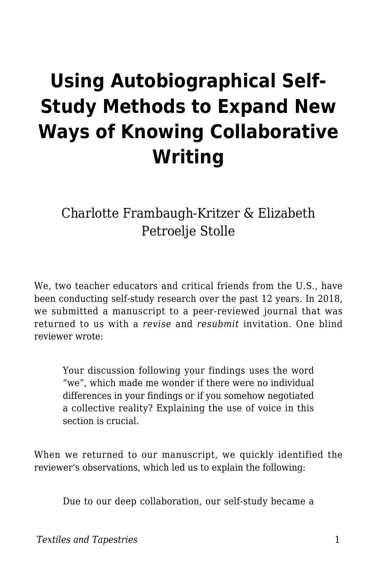# **Using Autobiographical Self-Study Methods to Expand New Ways of Knowing Collaborative Writing**

Charlotte Frambaugh-Kritzer & Elizabeth Petroelje Stolle

We, two teacher educators and critical friends from the U.S., have been conducting self-study research over the past 12 years. In 2018, we submitted a manuscript to a peer-reviewed journal that was returned to us with a *revise* and *resubmit* invitation. One blind reviewer wrote:

Your discussion following your findings uses the word "we", which made me wonder if there were no individual differences in your findings or if you somehow negotiated a collective reality? Explaining the use of voice in this section is crucial.

When we returned to our manuscript, we quickly identified the reviewer's observations, which led us to explain the following:

Due to our deep collaboration, our self-study became a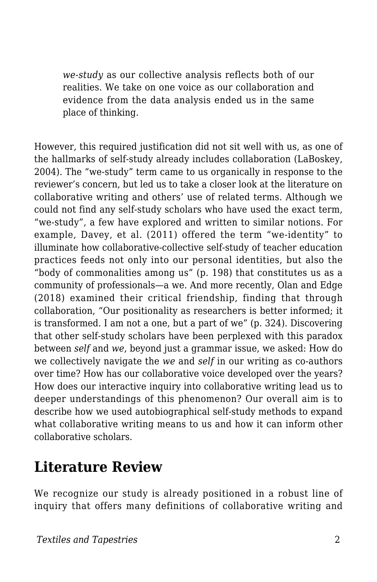*we-study* as our collective analysis reflects both of our realities. We take on one voice as our collaboration and evidence from the data analysis ended us in the same place of thinking.

However, this required justification did not sit well with us, as one of the hallmarks of self-study already includes collaboration (LaBoskey, 2004). The "we-study" term came to us organically in response to the reviewer's concern, but led us to take a closer look at the literature on collaborative writing and others' use of related terms. Although we could not find any self-study scholars who have used the exact term, "we-study", a few have explored and written to similar notions. For example, Davey, et al. (2011) offered the term "we-identity" to illuminate how collaborative-collective self-study of teacher education practices feeds not only into our personal identities, but also the "body of commonalities among us" (p. 198) that constitutes us as a community of professionals—a we. And more recently, Olan and Edge (2018) examined their critical friendship, finding that through collaboration, "Our positionality as researchers is better informed; it is transformed. I am not a one, but a part of we" (p. 324). Discovering that other self-study scholars have been perplexed with this paradox between *self* and *we*, beyond just a grammar issue, we asked: How do we collectively navigate the *we* and *self* in our writing as co-authors over time? How has our collaborative voice developed over the years? How does our interactive inquiry into collaborative writing lead us to deeper understandings of this phenomenon? Our overall aim is to describe how we used autobiographical self-study methods to expand what collaborative writing means to us and how it can inform other collaborative scholars.

### **Literature Review**

We recognize our study is already positioned in a robust line of inquiry that offers many definitions of collaborative writing and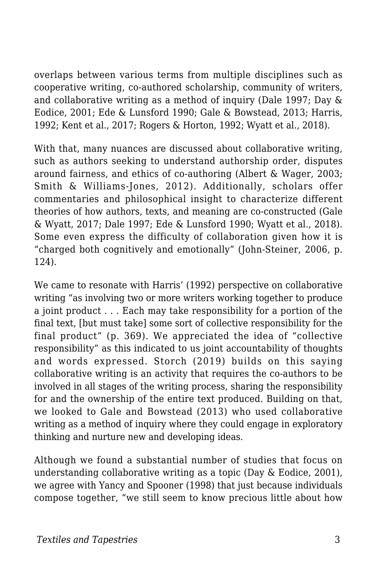overlaps between various terms from multiple disciplines such as cooperative writing, co-authored scholarship, community of writers, and collaborative writing as a method of inquiry (Dale 1997; Day & Eodice, 2001; Ede & Lunsford 1990; Gale & Bowstead, 2013; Harris, 1992; Kent et al., 2017; Rogers & Horton, 1992; Wyatt et al., 2018).

With that, many nuances are discussed about collaborative writing, such as authors seeking to understand authorship order, disputes around fairness, and ethics of co-authoring (Albert & Wager, 2003; Smith & Williams-Jones, 2012). Additionally, scholars offer commentaries and philosophical insight to characterize different theories of how authors, texts, and meaning are co-constructed (Gale & Wyatt, 2017; Dale 1997; Ede & Lunsford 1990; Wyatt et al., 2018). Some even express the difficulty of collaboration given how it is "charged both cognitively and emotionally" (John-Steiner, 2006, p. 124).

We came to resonate with Harris' (1992) perspective on collaborative writing "as involving two or more writers working together to produce a joint product . . . Each may take responsibility for a portion of the final text, [but must take] some sort of collective responsibility for the final product" (p. 369). We appreciated the idea of "collective responsibility" as this indicated to us joint accountability of thoughts and words expressed. Storch (2019) builds on this saying collaborative writing is an activity that requires the co-authors to be involved in all stages of the writing process, sharing the responsibility for and the ownership of the entire text produced. Building on that, we looked to Gale and Bowstead (2013) who used collaborative writing as a method of inquiry where they could engage in exploratory thinking and nurture new and developing ideas.

Although we found a substantial number of studies that focus on understanding collaborative writing as a topic (Day & Eodice, 2001), we agree with Yancy and Spooner (1998) that just because individuals compose together, "we still seem to know precious little about how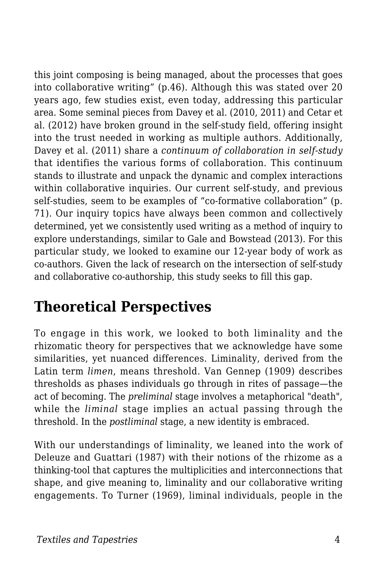this joint composing is being managed, about the processes that goes into collaborative writing" (p.46). Although this was stated over 20 years ago, few studies exist, even today, addressing this particular area. Some seminal pieces from Davey et al. (2010, 2011) and Cetar et al. (2012) have broken ground in the self-study field, offering insight into the trust needed in working as multiple authors. Additionally, Davey et al. (2011) share a *continuum of collaboration in self-study* that identifies the various forms of collaboration. This continuum stands to illustrate and unpack the dynamic and complex interactions within collaborative inquiries. Our current self-study, and previous self-studies, seem to be examples of "co-formative collaboration" (p. 71). Our inquiry topics have always been common and collectively determined, yet we consistently used writing as a method of inquiry to explore understandings, similar to Gale and Bowstead (2013). For this particular study, we looked to examine our 12-year body of work as co-authors. Given the lack of research on the intersection of self-study and collaborative co-authorship, this study seeks to fill this gap.

### **Theoretical Perspectives**

To engage in this work, we looked to both liminality and the rhizomatic theory for perspectives that we acknowledge have some similarities, yet nuanced differences. Liminality, derived from the Latin term *limen*, means threshold. Van Gennep (1909) describes thresholds as phases individuals go through in rites of passage—the act of becoming. The *preliminal* stage involves a metaphorical "death", while the *liminal* stage implies an actual passing through the threshold. In the *postliminal* stage, a new identity is embraced.

With our understandings of liminality, we leaned into the work of Deleuze and Guattari (1987) with their notions of the rhizome as a thinking-tool that captures the multiplicities and interconnections that shape, and give meaning to, liminality and our collaborative writing engagements. To Turner (1969), liminal individuals, people in the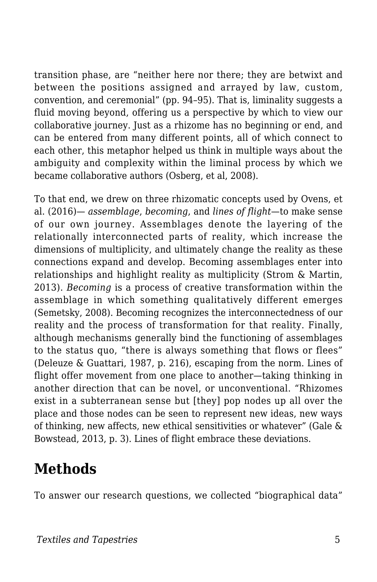transition phase, are "neither here nor there; they are betwixt and between the positions assigned and arrayed by law, custom, convention, and ceremonial" (pp. 94–95). That is, liminality suggests a fluid moving beyond, offering us a perspective by which to view our collaborative journey. Just as a rhizome has no beginning or end, and can be entered from many different points, all of which connect to each other, this metaphor helped us think in multiple ways about the ambiguity and complexity within the liminal process by which we became collaborative authors (Osberg, et al, 2008).

To that end, we drew on three rhizomatic concepts used by Ovens, et al. (2016)— *assemblage*, *becoming*, and *lines of flight*—to make sense of our own journey. Assemblages denote the layering of the relationally interconnected parts of reality, which increase the dimensions of multiplicity, and ultimately change the reality as these connections expand and develop. Becoming assemblages enter into relationships and highlight reality as multiplicity (Strom & Martin, 2013). *Becoming* is a process of creative transformation within the assemblage in which something qualitatively different emerges (Semetsky, 2008). Becoming recognizes the interconnectedness of our reality and the process of transformation for that reality. Finally, although mechanisms generally bind the functioning of assemblages to the status quo, "there is always something that flows or flees" (Deleuze & Guattari, 1987, p. 216), escaping from the norm. Lines of flight offer movement from one place to another—taking thinking in another direction that can be novel, or unconventional. "Rhizomes exist in a subterranean sense but [they] pop nodes up all over the place and those nodes can be seen to represent new ideas, new ways of thinking, new affects, new ethical sensitivities or whatever" (Gale & Bowstead, 2013, p. 3). Lines of flight embrace these deviations.

### **Methods**

To answer our research questions, we collected "biographical data"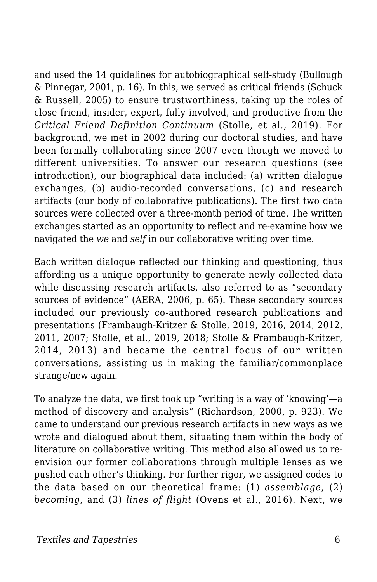and used the 14 guidelines for autobiographical self-study (Bullough & Pinnegar, 2001, p. 16). In this, we served as critical friends (Schuck & Russell, 2005) to ensure trustworthiness, taking up the roles of close friend, insider, expert, fully involved, and productive from the *Critical Friend Definition Continuum* (Stolle, et al., 2019). For background, we met in 2002 during our doctoral studies, and have been formally collaborating since 2007 even though we moved to different universities. To answer our research questions (see introduction), our biographical data included: (a) written dialogue exchanges, (b) audio-recorded conversations, (c) and research artifacts (our body of collaborative publications). The first two data sources were collected over a three-month period of time. The written exchanges started as an opportunity to reflect and re-examine how we navigated the *we* and *self* in our collaborative writing over time.

Each written dialogue reflected our thinking and questioning, thus affording us a unique opportunity to generate newly collected data while discussing research artifacts, also referred to as "secondary sources of evidence" (AERA, 2006, p. 65). These secondary sources included our previously co-authored research publications and presentations (Frambaugh-Kritzer & Stolle, 2019, 2016, 2014, 2012, 2011, 2007; Stolle, et al., 2019, 2018; Stolle & Frambaugh-Kritzer, 2014, 2013) and became the central focus of our written conversations, assisting us in making the familiar/commonplace strange/new again*.*

To analyze the data, we first took up "writing is a way of 'knowing'—a method of discovery and analysis" (Richardson, 2000, p. 923). We came to understand our previous research artifacts in new ways as we wrote and dialogued about them, situating them within the body of literature on collaborative writing. This method also allowed us to reenvision our former collaborations through multiple lenses as we pushed each other's thinking. For further rigor, we assigned codes to the data based on our theoretical frame: (1) *assemblage*, (2) *becoming*, and (3) *lines of flight* (Ovens et al., 2016). Next, we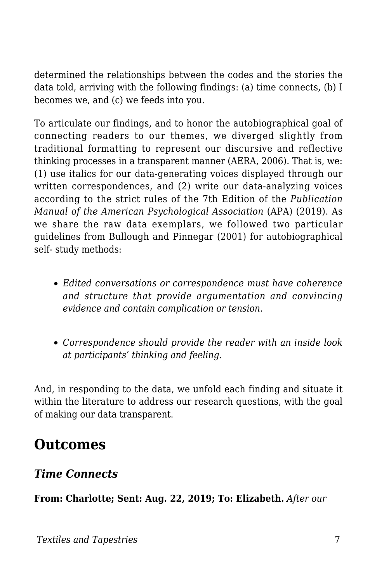determined the relationships between the codes and the stories the data told, arriving with the following findings: (a) time connects, (b) I becomes we, and (c) we feeds into you.

To articulate our findings, and to honor the autobiographical goal of connecting readers to our themes, we diverged slightly from traditional formatting to represent our discursive and reflective thinking processes in a transparent manner (AERA, 2006). That is, we: (1) use italics for our data-generating voices displayed through our written correspondences, and (2) write our data-analyzing voices according to the strict rules of the 7th Edition of the *Publication Manual of the American Psychological Association* (APA) (2019). As we share the raw data exemplars, we followed two particular guidelines from Bullough and Pinnegar (2001) for autobiographical self- study methods:

- *Edited conversations or correspondence must have coherence and structure that provide argumentation and convincing evidence and contain complication or tension.*
- *Correspondence should provide the reader with an inside look at participants' thinking and feeling.*

And, in responding to the data, we unfold each finding and situate it within the literature to address our research questions, with the goal of making our data transparent.

### **Outcomes**

#### *Time Connects*

**From: Charlotte; Sent: Aug. 22, 2019; To: Elizabeth.** *After our*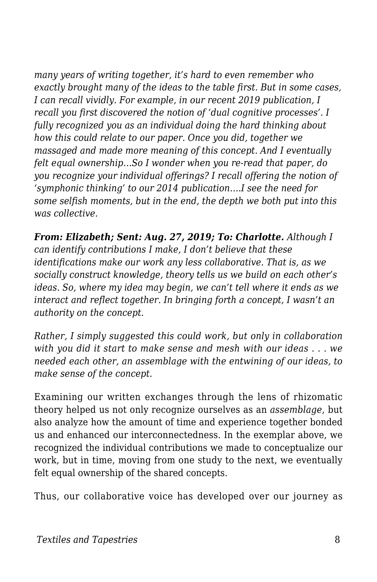*many years of writing together, it's hard to even remember who exactly brought many of the ideas to the table first. But in some cases, I can recall vividly. For example, in our recent 2019 publication, I recall you first discovered the notion of 'dual cognitive processes'. I fully recognized you as an individual doing the hard thinking about how this could relate to our paper. Once you did, together we massaged and made more meaning of this concept. And I eventually felt equal ownership…So I wonder when you re-read that paper, do you recognize your individual offerings? I recall offering the notion of 'symphonic thinking' to our 2014 publication….I see the need for some selfish moments, but in the end, the depth we both put into this was collective.*

*From: Elizabeth; Sent: Aug. 27, 2019; To: Charlotte. Although I can identify contributions I make, I don't believe that these identifications make our work any less collaborative. That is, as we socially construct knowledge, theory tells us we build on each other's ideas. So, where my idea may begin, we can't tell where it ends as we interact and reflect together. In bringing forth a concept, I wasn't an authority on the concept.*

*Rather, I simply suggested this could work, but only in collaboration with you did it start to make sense and mesh with our ideas . . . we needed each other, an assemblage with the entwining of our ideas, to make sense of the concept.*

Examining our written exchanges through the lens of rhizomatic theory helped us not only recognize ourselves as an *assemblage*, but also analyze how the amount of time and experience together bonded us and enhanced our interconnectedness. In the exemplar above, we recognized the individual contributions we made to conceptualize our work, but in time, moving from one study to the next, we eventually felt equal ownership of the shared concepts.

Thus, our collaborative voice has developed over our journey as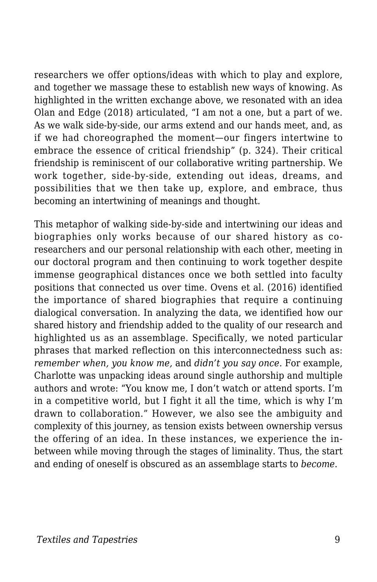researchers we offer options/ideas with which to play and explore, and together we massage these to establish new ways of knowing. As highlighted in the written exchange above, we resonated with an idea Olan and Edge (2018) articulated, "I am not a one, but a part of we. As we walk side-by-side, our arms extend and our hands meet, and, as if we had choreographed the moment—our fingers intertwine to embrace the essence of critical friendship" (p. 324). Their critical friendship is reminiscent of our collaborative writing partnership. We work together, side-by-side, extending out ideas, dreams, and possibilities that we then take up, explore, and embrace, thus becoming an intertwining of meanings and thought.

This metaphor of walking side-by-side and intertwining our ideas and biographies only works because of our shared history as coresearchers and our personal relationship with each other, meeting in our doctoral program and then continuing to work together despite immense geographical distances once we both settled into faculty positions that connected us over time. Ovens et al. (2016) identified the importance of shared biographies that require a continuing dialogical conversation. In analyzing the data, we identified how our shared history and friendship added to the quality of our research and highlighted us as an assemblage. Specifically, we noted particular phrases that marked reflection on this interconnectedness such as: *remember when, you know me,* and *didn't you say once.* For example, Charlotte was unpacking ideas around single authorship and multiple authors and wrote: "You know me, I don't watch or attend sports. I'm in a competitive world, but I fight it all the time, which is why I'm drawn to collaboration." However, we also see the ambiguity and complexity of this journey, as tension exists between ownership versus the offering of an idea. In these instances, we experience the inbetween while moving through the stages of liminality. Thus, the start and ending of oneself is obscured as an assemblage starts to *become*.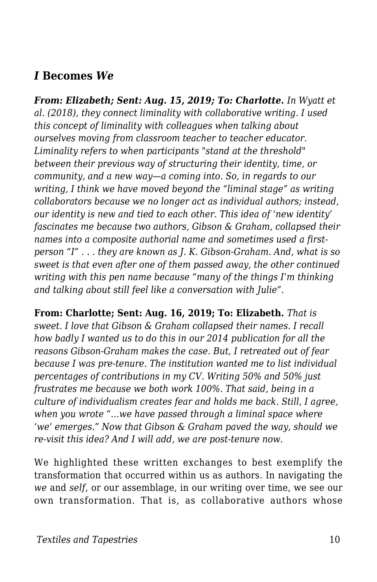#### *I* **Becomes** *We*

*From: Elizabeth; Sent: Aug. 15, 2019; To: Charlotte. In Wyatt et al. (2018), they connect liminality with collaborative writing. I used this concept of liminality with colleagues when talking about ourselves moving from classroom teacher to teacher educator. Liminality refers to when participants "stand at the threshold" between their previous way of structuring their identity, time, or community, and a new way—a coming into. So, in regards to our writing, I think we have moved beyond the "liminal stage" as writing collaborators because we no longer act as individual authors; instead, our identity is new and tied to each other. This idea of 'new identity' fascinates me because two authors, Gibson & Graham, collapsed their names into a composite authorial name and sometimes used a firstperson "I" . . . they are known as J. K. Gibson-Graham. And, what is so sweet is that even after one of them passed away, the other continued writing with this pen name because "many of the things I'm thinking and talking about still feel like a conversation with Julie".*

**From: Charlotte; Sent: Aug. 16, 2019; To: Elizabeth.** *That is sweet. I love that Gibson & Graham collapsed their names. I recall how badly I wanted us to do this in our 2014 publication for all the reasons Gibson-Graham makes the case. But, I retreated out of fear because I was pre-tenure. The institution wanted me to list individual percentages of contributions in my CV. Writing 50% and 50% just frustrates me because we both work 100%. That said, being in a culture of individualism creates fear and holds me back. Still, I agree, when you wrote "…we have passed through a liminal space where 'we' emerges." Now that Gibson & Graham paved the way, should we re-visit this idea? And I will add, we are post-tenure now.*

We highlighted these written exchanges to best exemplify the transformation that occurred within us as authors. In navigating the *we* and *self,* or our assemblage, in our writing over time, we see our own transformation. That is, as collaborative authors whose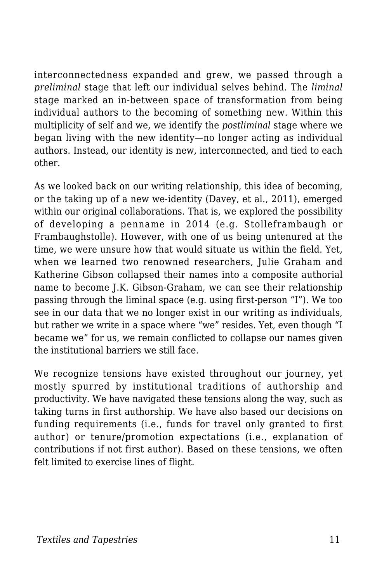interconnectedness expanded and grew, we passed through a *preliminal* stage that left our individual selves behind. The *liminal* stage marked an in-between space of transformation from being individual authors to the becoming of something new. Within this multiplicity of self and we, we identify the *postliminal* stage where we began living with the new identity—no longer acting as individual authors. Instead, our identity is new, interconnected, and tied to each other.

As we looked back on our writing relationship, this idea of becoming, or the taking up of a new we-identity (Davey, et al., 2011), emerged within our original collaborations. That is, we explored the possibility of developing a penname in 2014 (e.g. Stolleframbaugh or Frambaughstolle). However, with one of us being untenured at the time, we were unsure how that would situate us within the field. Yet, when we learned two renowned researchers, Julie Graham and Katherine Gibson collapsed their names into a composite authorial name to become J.K. Gibson-Graham, we can see their relationship passing through the liminal space (e.g. using first-person "I"). We too see in our data that we no longer exist in our writing as individuals, but rather we write in a space where "we" resides. Yet, even though "I became we" for us, we remain conflicted to collapse our names given the institutional barriers we still face.

We recognize tensions have existed throughout our journey, yet mostly spurred by institutional traditions of authorship and productivity. We have navigated these tensions along the way, such as taking turns in first authorship. We have also based our decisions on funding requirements (i.e., funds for travel only granted to first author) or tenure/promotion expectations (i.e., explanation of contributions if not first author). Based on these tensions, we often felt limited to exercise lines of flight.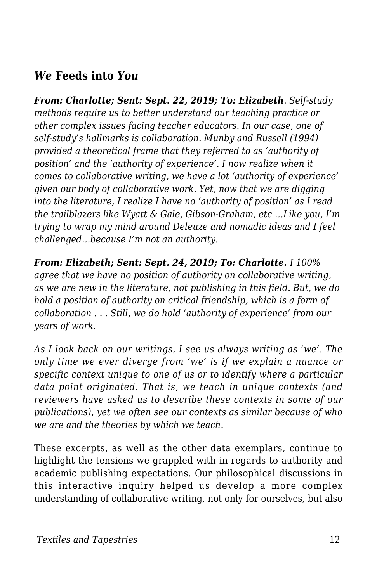#### *We* **Feeds into** *You*

*From: Charlotte; Sent: Sept. 22, 2019; To: Elizabeth. Self-study methods require us to better understand our teaching practice or other complex issues facing teacher educators. In our case, one of self-study's hallmarks is collaboration. Munby and Russell (1994) provided a theoretical frame that they referred to as 'authority of position' and the 'authority of experience'. I now realize when it comes to collaborative writing, we have a lot 'authority of experience' given our body of collaborative work. Yet, now that we are digging into the literature, I realize I have no 'authority of position' as I read the trailblazers like Wyatt & Gale, Gibson-Graham, etc …Like you, I'm trying to wrap my mind around Deleuze and nomadic ideas and I feel challenged…because I'm not an authority.*

*From: Elizabeth; Sent: Sept. 24, 2019; To: Charlotte. I 100% agree that we have no position of authority on collaborative writing, as we are new in the literature, not publishing in this field. But, we do hold a position of authority on critical friendship, which is a form of collaboration . . . Still, we do hold 'authority of experience' from our years of work.*

*As I look back on our writings, I see us always writing as 'we'. The only time we ever diverge from 'we' is if we explain a nuance or specific context unique to one of us or to identify where a particular data point originated. That is, we teach in unique contexts (and reviewers have asked us to describe these contexts in some of our publications), yet we often see our contexts as similar because of who we are and the theories by which we teach.*

These excerpts, as well as the other data exemplars, continue to highlight the tensions we grappled with in regards to authority and academic publishing expectations. Our philosophical discussions in this interactive inquiry helped us develop a more complex understanding of collaborative writing, not only for ourselves, but also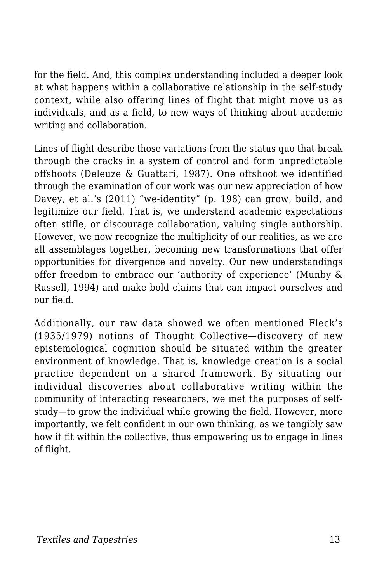for the field. And, this complex understanding included a deeper look at what happens within a collaborative relationship in the self-study context, while also offering lines of flight that might move us as individuals, and as a field, to new ways of thinking about academic writing and collaboration.

Lines of flight describe those variations from the status quo that break through the cracks in a system of control and form unpredictable offshoots (Deleuze & Guattari, 1987). One offshoot we identified through the examination of our work was our new appreciation of how Davey, et al.'s (2011) "we-identity" (p. 198) can grow, build, and legitimize our field. That is, we understand academic expectations often stifle, or discourage collaboration, valuing single authorship. However, we now recognize the multiplicity of our realities, as we are all assemblages together, becoming new transformations that offer opportunities for divergence and novelty. Our new understandings offer freedom to embrace our 'authority of experience' (Munby & Russell, 1994) and make bold claims that can impact ourselves and our field.

Additionally, our raw data showed we often mentioned Fleck's (1935/1979) notions of Thought Collective—discovery of new epistemological cognition should be situated within the greater environment of knowledge. That is, knowledge creation is a social practice dependent on a shared framework. By situating our individual discoveries about collaborative writing within the community of interacting researchers, we met the purposes of selfstudy—to grow the individual while growing the field. However, more importantly, we felt confident in our own thinking, as we tangibly saw how it fit within the collective, thus empowering us to engage in lines of flight.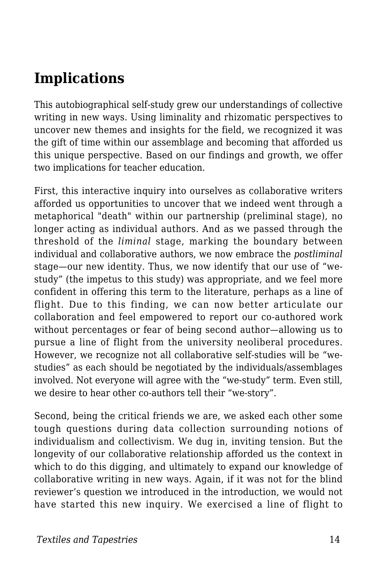## **Implications**

This autobiographical self-study grew our understandings of collective writing in new ways. Using liminality and rhizomatic perspectives to uncover new themes and insights for the field, we recognized it was the gift of time within our assemblage and becoming that afforded us this unique perspective. Based on our findings and growth, we offer two implications for teacher education.

First, this interactive inquiry into ourselves as collaborative writers afforded us opportunities to uncover that we indeed went through a metaphorical "death" within our partnership (preliminal stage), no longer acting as individual authors. And as we passed through the threshold of the *liminal* stage, marking the boundary between individual and collaborative authors, we now embrace the *postliminal* stage—our new identity. Thus, we now identify that our use of "westudy" (the impetus to this study) was appropriate, and we feel more confident in offering this term to the literature, perhaps as a line of flight. Due to this finding, we can now better articulate our collaboration and feel empowered to report our co-authored work without percentages or fear of being second author—allowing us to pursue a line of flight from the university neoliberal procedures. However, we recognize not all collaborative self-studies will be "westudies" as each should be negotiated by the individuals/assemblages involved. Not everyone will agree with the "we-study" term. Even still, we desire to hear other co-authors tell their "we-story".

Second, being the critical friends we are, we asked each other some tough questions during data collection surrounding notions of individualism and collectivism. We dug in, inviting tension. But the longevity of our collaborative relationship afforded us the context in which to do this digging, and ultimately to expand our knowledge of collaborative writing in new ways. Again, if it was not for the blind reviewer's question we introduced in the introduction, we would not have started this new inquiry. We exercised a line of flight to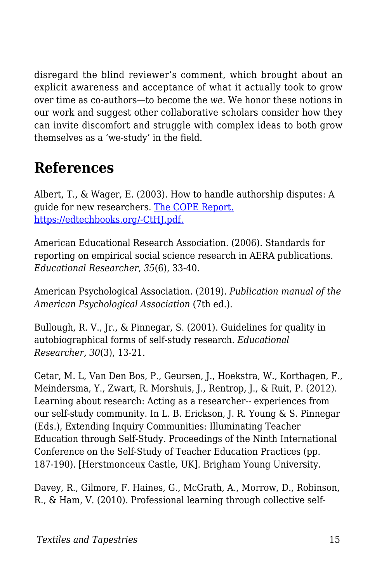disregard the blind reviewer's comment, which brought about an explicit awareness and acceptance of what it actually took to grow over time as co-authors—to become the *we*. We honor these notions in our work and suggest other collaborative scholars consider how they can invite discomfort and struggle with complex ideas to both grow themselves as a 'we-study' in the field.

# **References**

Albert, T., & Wager, E. (2003). How to handle authorship disputes: A guide for new researchers. [The COPE Report.](http://publicationethics.org/files/u2/2003pdf12.pdf) [https://edtechbooks.org/-CtHJ.pdf.](http://publicationethics.org/files/u2/2003pdf12.pdf)

American Educational Research Association. (2006). Standards for reporting on empirical social science research in AERA publications. *Educational Researcher*, *35*(6), 33-40.

American Psychological Association. (2019). *Publication manual of the American Psychological Association* (7th ed.).

Bullough, R. V., Jr., & Pinnegar, S. (2001). Guidelines for quality in autobiographical forms of self-study research. *Educational Researcher, 30*(3), 13-21.

Cetar, M. L, Van Den Bos, P., Geursen, J., Hoekstra, W., Korthagen, F., Meindersma, Y., Zwart, R. Morshuis, J., Rentrop, J., & Ruit, P. (2012). Learning about research: Acting as a researcher-- experiences from our self-study community. In L. B. Erickson, J. R. Young & S. Pinnegar (Eds.), Extending Inquiry Communities: Illuminating Teacher Education through Self-Study. Proceedings of the Ninth International Conference on the Self-Study of Teacher Education Practices (pp. 187-190). [Herstmonceux Castle, UK]. Brigham Young University.

Davey, R., Gilmore, F. Haines, G., McGrath, A., Morrow, D., Robinson, R., & Ham, V. (2010). Professional learning through collective self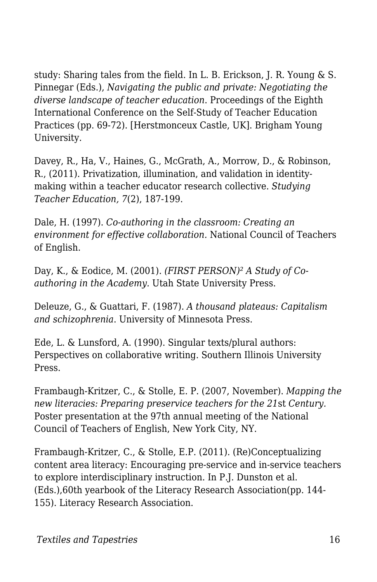study: Sharing tales from the field. In L. B. Erickson, J. R. Young & S. Pinnegar (Eds.), *Navigating the public and private: Negotiating the diverse landscape of teacher education*. Proceedings of the Eighth International Conference on the Self-Study of Teacher Education Practices (pp. 69-72). [Herstmonceux Castle, UK]. Brigham Young University.

Davey, R., Ha, V., Haines, G., McGrath, A., Morrow, D., & Robinson, R., (2011). Privatization, illumination, and validation in identitymaking within a teacher educator research collective. *Studying Teacher Education, 7*(2), 187-199.

Dale, H. (1997). *Co-authoring in the classroom: Creating an environment for effective collaboration.* National Council of Teachers of English.

Day, K., & Eodice, M. (2001). *(FIRST PERSON)² A Study of Coauthoring in the Academy.* Utah State University Press.

Deleuze, G., & Guattari, F. (1987). *A thousand plateaus: Capitalism and schizophrenia*. University of Minnesota Press.

Ede, L. & Lunsford, A. (1990). Singular texts/plural authors: Perspectives on collaborative writing. Southern Illinois University Press.

Frambaugh-Kritzer, C., & Stolle, E. P. (2007, November). *Mapping the new literacies: Preparing preservice teachers for the 21*st *Century.* Poster presentation at the 97th annual meeting of the National Council of Teachers of English, New York City, NY.

Frambaugh-Kritzer, C., & Stolle, E.P. (2011). (Re)Conceptualizing content area literacy: Encouraging pre-service and in-service teachers to explore interdisciplinary instruction. In P.J. Dunston et al. (Eds.),60th yearbook of the Literacy Research Association(pp. 144- 155). Literacy Research Association.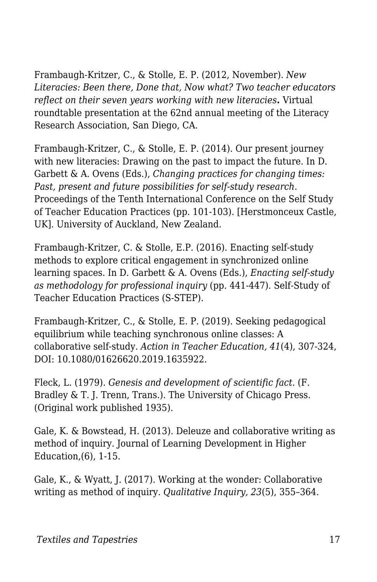Frambaugh-Kritzer, C., & Stolle, E. P. (2012, November). *New Literacies: Been there, Done that, Now what? Two teacher educators reflect on their seven years working with new literacies.* Virtual roundtable presentation at the 62nd annual meeting of the Literacy Research Association, San Diego, CA.

Frambaugh-Kritzer, C., & Stolle, E. P. (2014). Our present journey with new literacies: Drawing on the past to impact the future*.* In D. Garbett & A. Ovens (Eds.), *Changing practices for changing times: Past, present and future possibilities for self-study research*. Proceedings of the Tenth International Conference on the Self Study of Teacher Education Practices (pp. 101-103). [Herstmonceux Castle, UK]. University of Auckland, New Zealand.

Frambaugh-Kritzer, C. & Stolle, E.P. (2016). Enacting self-study methods to explore critical engagement in synchronized online learning spaces. In D. Garbett & A. Ovens (Eds.), *Enacting self-study as methodology for professional inquiry* (pp. 441-447). Self-Study of Teacher Education Practices (S-STEP).

Frambaugh-Kritzer, C., & Stolle, E. P. (2019). Seeking pedagogical equilibrium while teaching synchronous online classes: A collaborative self-study. *Action in Teacher Education, 41*(4), 307-324, DOI: 10.1080/01626620.2019.1635922.

Fleck, L. (1979). *Genesis and development of scientific fact*. (F. Bradley & T. J. Trenn, Trans.). The University of Chicago Press. (Original work published 1935).

Gale, K. & Bowstead, H. (2013). Deleuze and collaborative writing as method of inquiry. Journal of Learning Development in Higher Education,(6), 1-15.

Gale, K., & Wyatt, J. (2017). Working at the wonder: Collaborative writing as method of inquiry. *Qualitative Inquiry, 23*(5), 355–364.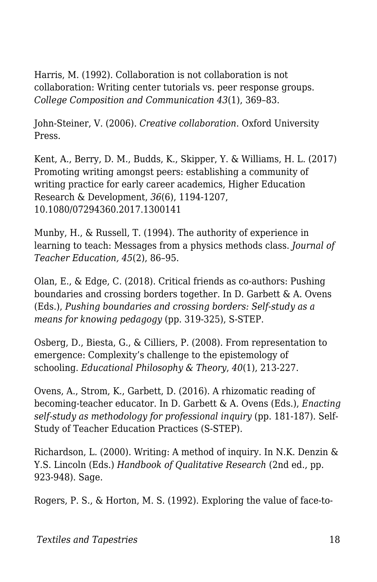Harris, M. (1992). Collaboration is not collaboration is not collaboration: Writing center tutorials vs. peer response groups. *College Composition and Communication 43*(1), 369–83.

John-Steiner, V. (2006). *Creative collaboration*. Oxford University Press.

Kent, A., Berry, D. M., Budds, K., Skipper, Y. & Williams, H. L. (2017) Promoting writing amongst peers: establishing a community of writing practice for early career academics, Higher Education Research & Development, *36*(6), 1194-1207, 10.1080/07294360.2017.1300141

Munby, H., & Russell, T. (1994). The authority of experience in learning to teach: Messages from a physics methods class. *Journal of Teacher Education, 45*(2), 86–95.

Olan, E., & Edge, C. (2018). Critical friends as co-authors: Pushing boundaries and crossing borders together*.* In D. Garbett & A. Ovens (Eds.), *Pushing boundaries and crossing borders: Self-study as a means for knowing pedagogy* (pp. 319-325), S-STEP.

Osberg, D., Biesta, G., & Cilliers, P. (2008). From representation to emergence: Complexity's challenge to the epistemology of schooling. *Educational Philosophy & Theory*, *40*(1), 213-227.

Ovens, A., Strom, K., Garbett, D. (2016). A rhizomatic reading of becoming-teacher educator. In D. Garbett & A. Ovens (Eds.), *Enacting self-study as methodology for professional inquiry* (pp. 181-187). Self-Study of Teacher Education Practices (S-STEP).

Richardson, L. (2000). Writing: A method of inquiry. In N.K. Denzin & Y.S. Lincoln (Eds.) *Handbook of Qualitative Research* (2nd ed., pp. 923-948). Sage.

Rogers, P. S., & Horton, M. S. (1992). Exploring the value of face-to-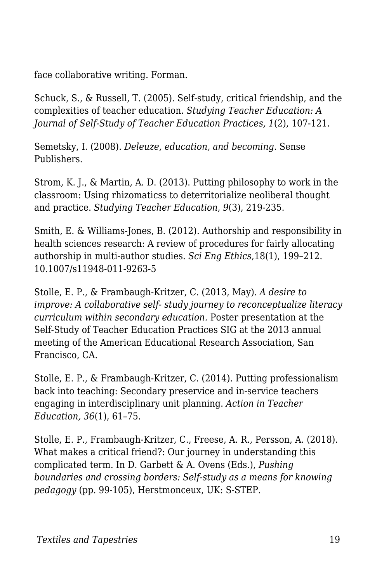face collaborative writing. Forman.

Schuck, S., & Russell, T. (2005). Self-study, critical friendship, and the complexities of teacher education. *Studying Teacher Education: A Journal of Self-Study of Teacher Education Practices, 1*(2), 107-121.

Semetsky, I. (2008). *Deleuze, education, and becoming*. Sense Publishers.

Strom, K. J., & Martin, A. D. (2013). Putting philosophy to work in the classroom: Using rhizomaticss to deterritorialize neoliberal thought and practice. *Studying Teacher Education*, *9*(3), 219-235.

Smith, E. & Williams-Jones, B. (2012). Authorship and responsibility in health sciences research: A review of procedures for fairly allocating authorship in multi-author studies. *Sci Eng Ethics*,18(1), 199–212. 10.1007/s11948-011-9263-5

Stolle, E. P., & Frambaugh-Kritzer, C. (2013, May). *A desire to improve: A collaborative self- study journey to reconceptualize literacy curriculum within secondary education.* Poster presentation at the Self-Study of Teacher Education Practices SIG at the 2013 annual meeting of the American Educational Research Association, San Francisco, CA.

Stolle, E. P., & Frambaugh-Kritzer, C. (2014). Putting professionalism back into teaching: Secondary preservice and in-service teachers engaging in interdisciplinary unit planning. *Action in Teacher Education, 36*(1), 61–75.

Stolle, E. P., Frambaugh-Kritzer, C., Freese, A. R., Persson, A. (2018). What makes a critical friend?: Our journey in understanding this complicated term. In D. Garbett & A. Ovens (Eds.), *Pushing boundaries and crossing borders: Self-study as a means for knowing pedagogy* (pp. 99-105), Herstmonceux, UK: S-STEP.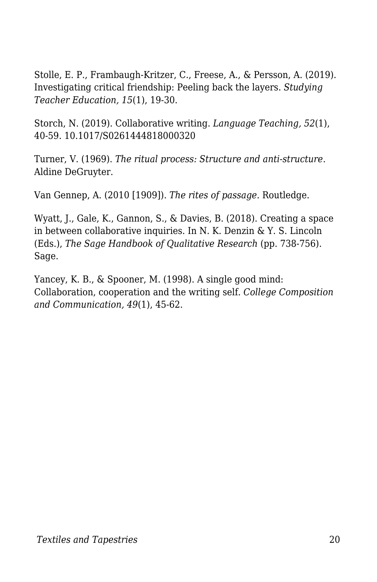Stolle, E. P., Frambaugh-Kritzer, C., Freese, A., & Persson, A. (2019). Investigating critical friendship: Peeling back the layers. *Studying Teacher Education, 15*(1), 19-30.

Storch, N. (2019). Collaborative writing. *Language Teaching, 52*(1), 40-59. 10.1017/S0261444818000320

Turner, V. (1969). *The ritual process: Structure and anti-structure*. Aldine DeGruyter.

Van Gennep, A. (2010 [1909]). *The rites of passage*. Routledge.

Wyatt, J., Gale, K., Gannon, S., & Davies, B. (2018). Creating a space in between collaborative inquiries. In N. K. Denzin & Y. S. Lincoln (Eds.), *The Sage Handbook of Qualitative Research* (pp. 738-756). Sage.

Yancey, K. B., & Spooner, M. (1998). A single good mind: Collaboration, cooperation and the writing self. *College Composition and Communication, 49*(1), 45-62.